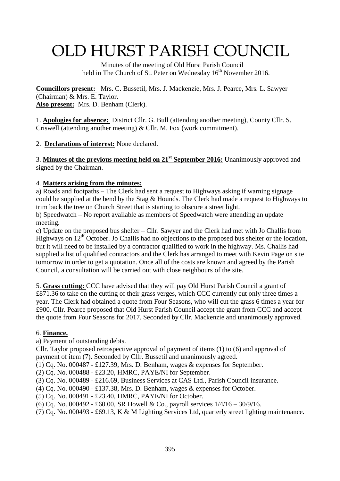# OLD HURST PARISH COUNCIL

 Minutes of the meeting of Old Hurst Parish Council held in The Church of St. Peter on Wednesday 16<sup>th</sup> November 2016.

**Councillors present:** Mrs. C. Bussetil, Mrs. J. Mackenzie, Mrs. J. Pearce, Mrs. L. Sawyer (Chairman) & Mrs. E. Taylor. **Also present:** Mrs. D. Benham (Clerk).

1. **Apologies for absence:** District Cllr. G. Bull (attending another meeting), County Cllr. S. Criswell (attending another meeting) & Cllr. M. Fox (work commitment).

2. **Declarations of interest:** None declared.

3. **Minutes of the previous meeting held on 21 st September 2016:** Unanimously approved and signed by the Chairman.

#### 4. **Matters arising from the minutes:**

a) Roads and footpaths – The Clerk had sent a request to Highways asking if warning signage could be supplied at the bend by the Stag & Hounds. The Clerk had made a request to Highways to trim back the tree on Church Street that is starting to obscure a street light.

b) Speedwatch – No report available as members of Speedwatch were attending an update meeting.

c) Update on the proposed bus shelter – Cllr. Sawyer and the Clerk had met with Jo Challis from Highways on  $12<sup>th</sup>$  October. Jo Challis had no objections to the proposed bus shelter or the location, but it will need to be installed by a contractor qualified to work in the highway. Ms. Challis had supplied a list of qualified contractors and the Clerk has arranged to meet with Kevin Page on site tomorrow in order to get a quotation. Once all of the costs are known and agreed by the Parish Council, a consultation will be carried out with close neighbours of the site.

5. **Grass cutting:** CCC have advised that they will pay Old Hurst Parish Council a grant of £871.36 to take on the cutting of their grass verges, which CCC currently cut only three times a year. The Clerk had obtained a quote from Four Seasons, who will cut the grass 6 times a year for £900. Cllr. Pearce proposed that Old Hurst Parish Council accept the grant from CCC and accept the quote from Four Seasons for 2017. Seconded by Cllr. Mackenzie and unanimously approved.

## 6. **Finance.**

a) Payment of outstanding debts.

Cllr. Taylor proposed retrospective approval of payment of items (1) to (6) and approval of payment of item (7). Seconded by Cllr. Bussetil and unanimously agreed.

(1) Cq. No. 000487 - £127.39, Mrs. D. Benham, wages & expenses for September.

(2) Cq. No. 000488 - £23.20, HMRC, PAYE/NI for September.

(3) Cq. No. 000489 - £216.69, Business Services at CAS Ltd., Parish Council insurance.

(4) Cq. No. 000490 - £137.38, Mrs. D. Benham, wages & expenses for October.

(5) Cq. No. 000491 - £23.40, HMRC, PAYE/NI for October.

(6) Cq. No. 000492 - £60.00, SR Howell & Co., payroll services 1/4/16 – 30/9/16.

(7) Cq. No. 000493 - £69.13, K & M Lighting Services Ltd, quarterly street lighting maintenance.